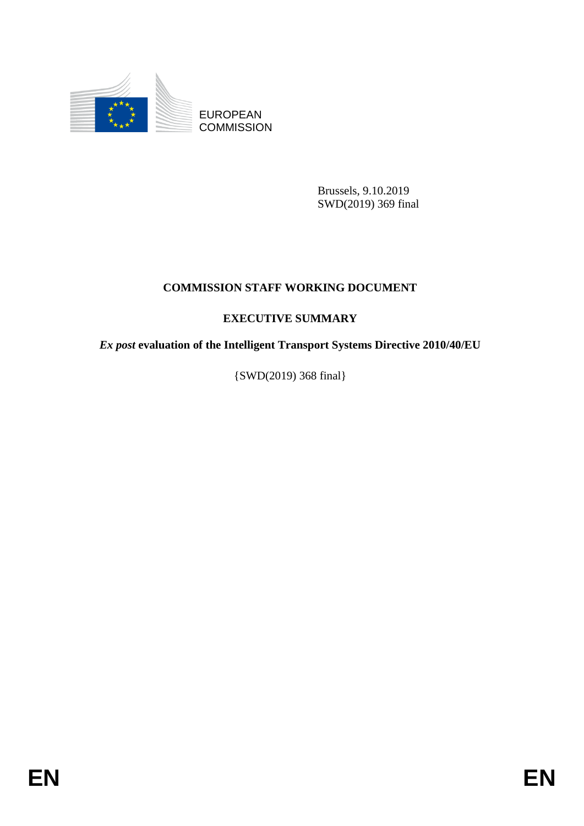

EUROPEAN **COMMISSION** 

> Brussels, 9.10.2019 SWD(2019) 369 final

## **COMMISSION STAFF WORKING DOCUMENT**

## **EXECUTIVE SUMMARY**

*Ex post* **evaluation of the Intelligent Transport Systems Directive 2010/40/EU**

{SWD(2019) 368 final}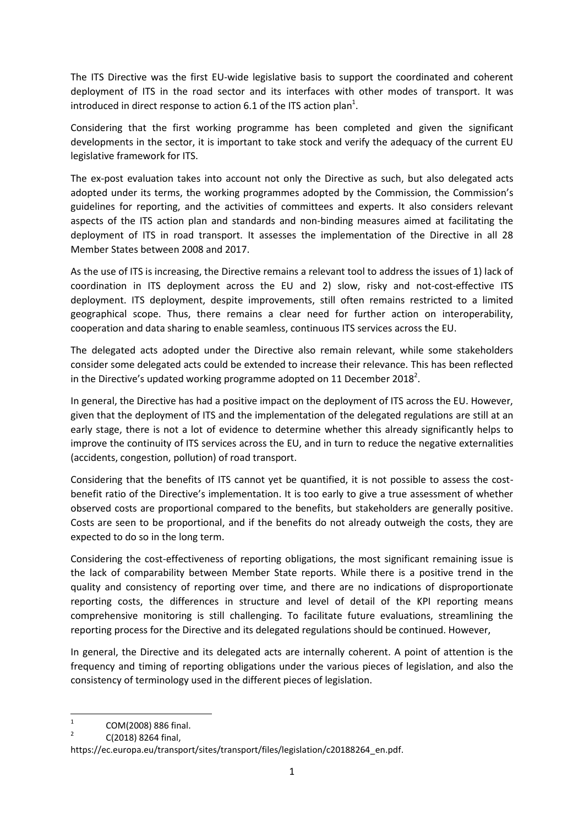The ITS Directive was the first EU-wide legislative basis to support the coordinated and coherent deployment of ITS in the road sector and its interfaces with other modes of transport. It was introduced in direct response to action 6.1 of the ITS action plan<sup>1</sup>.

Considering that the first working programme has been completed and given the significant developments in the sector, it is important to take stock and verify the adequacy of the current EU legislative framework for ITS.

The ex-post evaluation takes into account not only the Directive as such, but also delegated acts adopted under its terms, the working programmes adopted by the Commission, the Commission's guidelines for reporting, and the activities of committees and experts. It also considers relevant aspects of the ITS action plan and standards and non-binding measures aimed at facilitating the deployment of ITS in road transport. It assesses the implementation of the Directive in all 28 Member States between 2008 and 2017.

As the use of ITS is increasing, the Directive remains a relevant tool to address the issues of 1) lack of coordination in ITS deployment across the EU and 2) slow, risky and not-cost-effective ITS deployment. ITS deployment, despite improvements, still often remains restricted to a limited geographical scope. Thus, there remains a clear need for further action on interoperability, cooperation and data sharing to enable seamless, continuous ITS services across the EU.

The delegated acts adopted under the Directive also remain relevant, while some stakeholders consider some delegated acts could be extended to increase their relevance. This has been reflected in the Directive's updated working programme adopted on 11 December 2018<sup>2</sup>.

In general, the Directive has had a positive impact on the deployment of ITS across the EU. However, given that the deployment of ITS and the implementation of the delegated regulations are still at an early stage, there is not a lot of evidence to determine whether this already significantly helps to improve the continuity of ITS services across the EU, and in turn to reduce the negative externalities (accidents, congestion, pollution) of road transport.

Considering that the benefits of ITS cannot yet be quantified, it is not possible to assess the costbenefit ratio of the Directive's implementation. It is too early to give a true assessment of whether observed costs are proportional compared to the benefits, but stakeholders are generally positive. Costs are seen to be proportional, and if the benefits do not already outweigh the costs, they are expected to do so in the long term.

Considering the cost-effectiveness of reporting obligations, the most significant remaining issue is the lack of comparability between Member State reports. While there is a positive trend in the quality and consistency of reporting over time, and there are no indications of disproportionate reporting costs, the differences in structure and level of detail of the KPI reporting means comprehensive monitoring is still challenging. To facilitate future evaluations, streamlining the reporting process for the Directive and its delegated regulations should be continued. However,

In general, the Directive and its delegated acts are internally coherent. A point of attention is the frequency and timing of reporting obligations under the various pieces of legislation, and also the consistency of terminology used in the different pieces of legislation.

 $\frac{1}{1}$ COM(2008) 886 final.  $\overline{2}$ 

C(2018) 8264 final,

https://ec.europa.eu/transport/sites/transport/files/legislation/c20188264\_en.pdf.